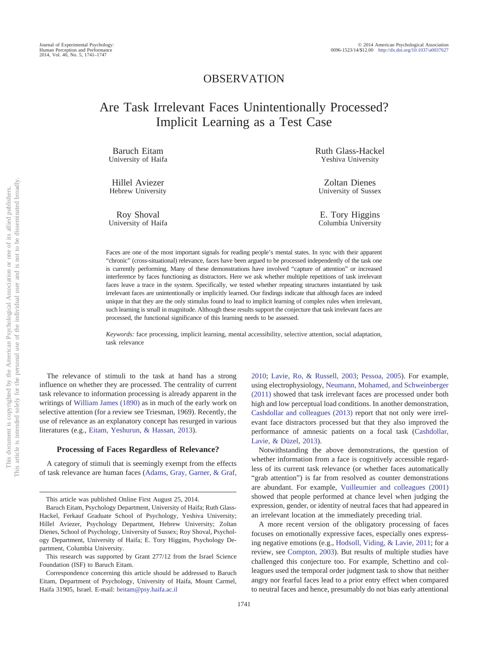## OBSERVATION

# Are Task Irrelevant Faces Unintentionally Processed? Implicit Learning as a Test Case

Baruch Eitam University of Haifa

Hillel Aviezer Hebrew University

Roy Shoval University of Haifa Ruth Glass-Hackel Yeshiva University

Zoltan Dienes University of Sussex

E. Tory Higgins Columbia University

Faces are one of the most important signals for reading people's mental states. In sync with their apparent "chronic" (cross-situational) relevance, faces have been argued to be processed independently of the task one is currently performing. Many of these demonstrations have involved "capture of attention" or increased interference by faces functioning as distractors. Here we ask whether multiple repetitions of task irrelevant faces leave a trace in the system. Specifically, we tested whether repeating structures instantiated by task irrelevant faces are unintentionally or implicitly learned. Our findings indicate that although faces are indeed unique in that they are the only stimulus found to lead to implicit learning of complex rules when irrelevant, such learning is small in magnitude. Although these results support the conjecture that task irrelevant faces are processed, the functional significance of this learning needs to be assessed.

*Keywords:* face processing, implicit learning, mental accessibility, selective attention, social adaptation, task relevance

The relevance of stimuli to the task at hand has a strong influence on whether they are processed. The centrality of current task relevance to information processing is already apparent in the writings of [William James \(1890\)](#page-6-0) as in much of the early work on selective attention (for a review see Triesman, 1969). Recently, the use of relevance as an explanatory concept has resurged in various literatures (e.g., [Eitam, Yeshurun, & Hassan, 2013\)](#page-5-0).

#### **Processing of Faces Regardless of Relevance?**

A category of stimuli that is seemingly exempt from the effects of task relevance are human faces [\(Adams, Gray, Garner, & Graf,](#page-5-1)

[Cashdollar and colleagues \(2013\)](#page-5-2) report that not only were irrelevant face distractors processed but that they also improved the performance of amnesic patients on a focal task [\(Cashdollar,](#page-5-2) [Lavie, & Düzel, 2013\)](#page-5-2). Notwithstanding the above demonstrations, the question of whether information from a face is cognitively accessible regardless of its current task relevance (or whether faces automatically "grab attention") is far from resolved as counter demonstrations

[2010;](#page-5-1) [Lavie, Ro, & Russell, 2003;](#page-6-1) [Pessoa, 2005\)](#page-6-2). For example, using electrophysiology, [Neumann, Mohamed, and Schweinberger](#page-6-3) [\(2011\)](#page-6-3) showed that task irrelevant faces are processed under both high and low perceptual load conditions. In another demonstration,

are abundant. For example, [Vuilleumier and colleagues \(2001\)](#page-6-4) showed that people performed at chance level when judging the expression, gender, or identity of neutral faces that had appeared in an irrelevant location at the immediately preceding trial.

A more recent version of the obligatory processing of faces focuses on emotionally expressive faces, especially ones expressing negative emotions (e.g., [Hodsoll, Viding, & Lavie, 2011;](#page-6-5) for a review, see [Compton, 2003\)](#page-5-3). But results of multiple studies have challenged this conjecture too. For example, Schettino and colleagues used the temporal order judgment task to show that neither angry nor fearful faces lead to a prior entry effect when compared to neutral faces and hence, presumably do not bias early attentional

This article was published Online First August 25, 2014.

Baruch Eitam, Psychology Department, University of Haifa; Ruth Glass-Hackel, Ferkauf Graduate School of Psychology, Yeshiva University; Hillel Aviezer, Psychology Department, Hebrew University; Zoltan Dienes, School of Psychology, University of Sussex; Roy Shoval, Psychology Department, University of Haifa; E. Tory Higgins, Psychology Department, Columbia University.

This research was supported by Grant 277/12 from the Israel Science Foundation (ISF) to Baruch Eitam.

Correspondence concerning this article should be addressed to Baruch Eitam, Department of Psychology, University of Haifa, Mount Carmel, Haifa 31905, Israel. E-mail: [beitam@psy.haifa.ac.il](mailto:beitam@psy.haifa.ac.il)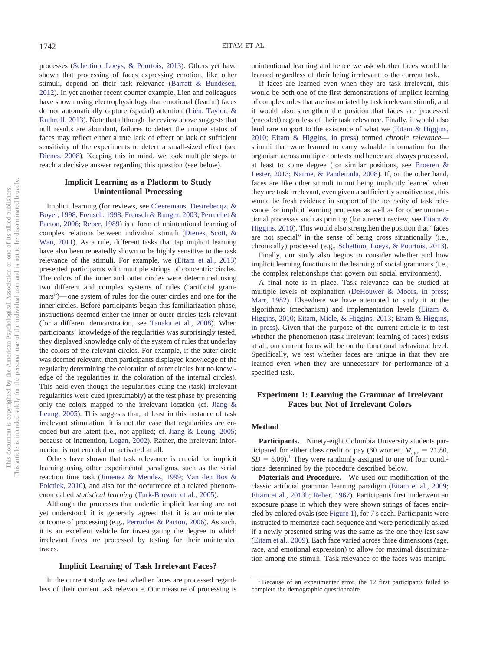processes [\(Schettino, Loeys, & Pourtois, 2013\)](#page-6-6). Others yet have shown that processing of faces expressing emotion, like other stimuli, depend on their task relevance [\(Barratt & Bundesen,](#page-5-4) [2012\)](#page-5-4). In yet another recent counter example, Lien and colleagues have shown using electrophysiology that emotional (fearful) faces do not automatically capture (spatial) attention [\(Lien, Taylor, &](#page-6-7) [Ruthruff, 2013\)](#page-6-7). Note that although the review above suggests that null results are abundant, failures to detect the unique status of faces may reflect either a true lack of effect or lack of sufficient sensitivity of the experiments to detect a small-sized effect (see [Dienes, 2008\)](#page-5-5). Keeping this in mind, we took multiple steps to reach a decisive answer regarding this question (see below).

## **Implicit Learning as a Platform to Study Unintentional Processing**

Implicit learning (for reviews, see [Cleeremans, Destrebecqz, &](#page-5-6) [Boyer, 1998;](#page-5-6) [Frensch, 1998;](#page-6-8) [Frensch & Runger, 2003;](#page-6-9) [Perruchet &](#page-6-10) [Pacton, 2006;](#page-6-10) [Reber, 1989\)](#page-6-11) is a form of unintentional learning of complex relations between individual stimuli [\(Dienes, Scott, &](#page-5-7) [Wan, 2011\)](#page-5-7). As a rule, different tasks that tap implicit learning have also been repeatedly shown to be highly sensitive to the task relevance of the stimuli. For example, we [\(Eitam et al., 2013\)](#page-5-0) presented participants with multiple strings of concentric circles. The colors of the inner and outer circles were determined using two different and complex systems of rules ("artificial grammars")— one system of rules for the outer circles and one for the inner circles. Before participants began this familiarization phase, instructions deemed either the inner or outer circles task-relevant (for a different demonstration, see [Tanaka et al., 2008\)](#page-6-12). When participants' knowledge of the regularities was surprisingly tested, they displayed knowledge only of the system of rules that underlay the colors of the relevant circles. For example, if the outer circle was deemed relevant, then participants displayed knowledge of the regularity determining the coloration of outer circles but no knowledge of the regularities in the coloration of the internal circles). This held even though the regularities cuing the (task) irrelevant regularities were cued (presumably) at the test phase by presenting only the colors mapped to the irrelevant location (cf. [Jiang &](#page-6-13) [Leung, 2005\)](#page-6-13). This suggests that, at least in this instance of task irrelevant stimulation, it is not the case that regularities are encoded but are latent (i.e., not applied; cf. [Jiang & Leung, 2005;](#page-6-13) because of inattention, [Logan, 2002\)](#page-6-14). Rather, the irrelevant information is not encoded or activated at all.

Others have shown that task relevance is crucial for implicit learning using other experimental paradigms, such as the serial reaction time task [\(Jimenez & Mendez, 1999;](#page-6-15) [Van den Bos &](#page-6-16) [Poletiek, 2010\)](#page-6-16), and also for the occurrence of a related phenomenon called *statistical learning* [\(Turk-Browne et al., 2005\)](#page-6-17).

Although the processes that underlie implicit learning are not yet understood, it is generally agreed that it is an unintended outcome of processing (e.g., [Perruchet & Pacton, 2006\)](#page-6-10). As such, it is an excellent vehicle for investigating the degree to which irrelevant faces are processed by testing for their unintended traces.

#### **Implicit Learning of Task Irrelevant Faces?**

In the current study we test whether faces are processed regardless of their current task relevance. Our measure of processing is

unintentional learning and hence we ask whether faces would be learned regardless of their being irrelevant to the current task.

If faces are learned even when they are task irrelevant, this would be both one of the first demonstrations of implicit learning of complex rules that are instantiated by task irrelevant stimuli, and it would also strengthen the position that faces are processed (encoded) regardless of their task relevance. Finally, it would also lend rare support to the existence of what we [\(Eitam & Higgins,](#page-5-8) [2010;](#page-5-8) [Eitam & Higgins, in press\)](#page-5-9) termed *chronic relevance* stimuli that were learned to carry valuable information for the organism across multiple contexts and hence are always processed, at least to some degree (for similar positions, see [Broeren &](#page-5-10) [Lester, 2013;](#page-5-10) [Nairne, & Pandeirada, 2008\)](#page-6-18). If, on the other hand, faces are like other stimuli in not being implicitly learned when they are task irrelevant, even given a sufficiently sensitive test, this would be fresh evidence in support of the necessity of task relevance for implicit learning processes as well as for other unintentional processes such as priming (for a recent review, see [Eitam &](#page-5-8) [Higgins, 2010\)](#page-5-8). This would also strengthen the position that "faces are not special" in the sense of being cross situationally (i.e., chronically) processed (e.g., [Schettino, Loeys, & Pourtois, 2013\)](#page-6-6).

Finally, our study also begins to consider whether and how implicit learning functions in the learning of social grammars (i.e., the complex relationships that govern our social environment).

A final note is in place. Task relevance can be studied at multiple levels of explanation [\(DeHouwer & Moors, in press;](#page-5-11) [Marr, 1982\)](#page-6-19). Elsewhere we have attempted to study it at the algorithmic (mechanism) and implementation levels [\(Eitam &](#page-5-8) [Higgins, 2010;](#page-5-8) [Eitam, Miele, & Higgins, 2013;](#page-5-12) [Eitam & Higgins,](#page-5-9) [in press\)](#page-5-9). Given that the purpose of the current article is to test whether the phenomenon (task irrelevant learning of faces) exists at all, our current focus will be on the functional behavioral level. Specifically, we test whether faces are unique in that they are learned even when they are unnecessary for performance of a specified task.

## **Experiment 1: Learning the Grammar of Irrelevant Faces but Not of Irrelevant Colors**

## **Method**

**Participants.** Ninety-eight Columbia University students participated for either class credit or pay (60 women,  $M_{\text{age}} = 21.80$ ,  $SD = 5.09$ .<sup>1</sup> They were randomly assigned to one of four conditions determined by the procedure described below.

**Materials and Procedure.** We used our modification of the classic artificial grammar learning paradigm [\(Eitam et al., 2009;](#page-5-13) [Eitam et al., 2013b;](#page-5-14) [Reber, 1967\)](#page-6-20). Participants first underwent an exposure phase in which they were shown strings of faces encircled by colored ovals (see [Figure 1\)](#page-2-0), for 7 s each. Participants were instructed to memorize each sequence and were periodically asked if a newly presented string was the same as the one they last saw [\(Eitam et al., 2009\)](#page-5-13). Each face varied across three dimensions (age, race, and emotional expression) to allow for maximal discrimination among the stimuli. Task relevance of the faces was manipu-

<sup>&</sup>lt;sup>1</sup> Because of an experimenter error, the 12 first participants failed to complete the demographic questionnaire.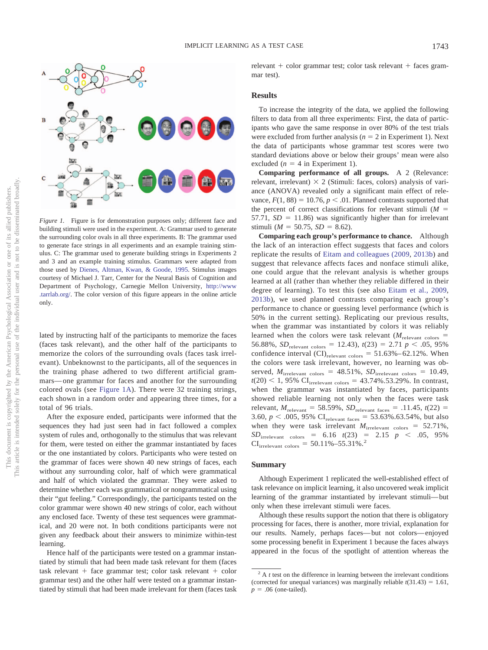

<span id="page-2-0"></span>*Figure 1.* Figure is for demonstration purposes only; different face and building stimuli were used in the experiment. A: Grammar used to generate the surrounding color ovals in all three experiments. B: The grammar used to generate face strings in all experiments and an example training stimulus. C: The grammar used to generate building strings in Experiments 2 and 3 and an example training stimulus. Grammars were adapted from those used by [Dienes, Altman, Kwan, & Goode, 1995.](#page-5-15) Stimulus images courtesy of Michael J. Tarr, Center for the Neural Basis of Cognition and Department of Psychology, Carnegie Mellon University, [http://www](http://www.tarrlab.org/) [.tarrlab.org/.](http://www.tarrlab.org/) The color version of this figure appears in the online article only.

lated by instructing half of the participants to memorize the faces (faces task relevant), and the other half of the participants to memorize the colors of the surrounding ovals (faces task irrelevant). Unbeknownst to the participants, all of the sequences in the training phase adhered to two different artificial grammars— one grammar for faces and another for the surrounding colored ovals (see [Figure 1A\)](#page-2-0). There were 32 training strings, each shown in a random order and appearing three times, for a total of 96 trials.

After the exposure ended, participants were informed that the sequences they had just seen had in fact followed a complex system of rules and, orthogonally to the stimulus that was relevant for them, were tested on either the grammar instantiated by faces or the one instantiated by colors. Participants who were tested on the grammar of faces were shown 40 new strings of faces, each without any surrounding color, half of which were grammatical and half of which violated the grammar. They were asked to determine whether each was grammatical or nongrammatical using their "gut feeling." Correspondingly, the participants tested on the color grammar were shown 40 new strings of color, each without any enclosed face. Twenty of these test sequences were grammatical, and 20 were not. In both conditions participants were not given any feedback about their answers to minimize within-test learning.

Hence half of the participants were tested on a grammar instantiated by stimuli that had been made task relevant for them (faces task relevant  $+$  face grammar test; color task relevant  $+$  color grammar test) and the other half were tested on a grammar instantiated by stimuli that had been made irrelevant for them (faces task  $relevant + color grammar test; color task relevant + faces gram$ mar test).

#### **Results**

To increase the integrity of the data, we applied the following filters to data from all three experiments: First, the data of participants who gave the same response in over 80% of the test trials were excluded from further analysis  $(n = 2$  in Experiment 1). Next the data of participants whose grammar test scores were two standard deviations above or below their groups' mean were also excluded  $(n = 4$  in Experiment 1).

**Comparing performance of all groups.** A 2 (Relevance: relevant, irrelevant)  $\times$  2 (Stimuli: faces, colors) analysis of variance (ANOVA) revealed only a significant main effect of relevance,  $F(1, 88) = 10.76$ ,  $p < .01$ . Planned contrasts supported that the percent of correct classifications for relevant stimuli  $(M =$  $57.71, SD = 11.86$ ) was significantly higher than for irrelevant stimuli ( $M = 50.75$ ,  $SD = 8.62$ ).

**Comparing each group's performance to chance.** Although the lack of an interaction effect suggests that faces and colors replicate the results of [Eitam and colleagues \(2009,](#page-5-13) [2013b\)](#page-5-14) and suggest that relevance affects faces and nonface stimuli alike, one could argue that the relevant analysis is whether groups learned at all (rather than whether they reliable differed in their degree of learning). To test this (see also [Eitam et al., 2009,](#page-5-13) [2013b\)](#page-5-14), we used planned contrasts comparing each group's performance to chance or guessing level performance (which is 50% in the current setting). Replicating our previous results, when the grammar was instantiated by colors it was reliably learned when the colors were task relevant  $(M_{\text{relevant colors}} =$ 56.88%,  $SD_{\text{relevant colors}} = 12.43$ ,  $t(23) = 2.71$   $p < .05$ , 95% confidence interval  $\text{(CI)}_{\text{relevant colors}} = 51.63\% - 62.12\%$ . When the colors were task irrelevant, however, no learning was observed,  $M_{\text{irrelevant colors}} = 48.51\%$ ,  $SD_{\text{irrelevant colors}} = 10.49$ ,  $t(20)$  < 1, 95% CI<sub>irrelevant colors = 43.74%.53.29%. In contrast,</sub> when the grammar was instantiated by faces, participants showed reliable learning not only when the faces were task relevant,  $M_{\text{relevant}} = 58.59\%$ ,  $SD_{\text{relevant faces}} = .11.45$ ,  $t(22) =$ 3.60,  $p < .005$ , 95% CI<sub>relevant faces</sub> = 53.63%.63.54%, but also when they were task irrelevant  $M_{\text{irrelevant} \text{ colors}} = 52.71\%$ ,  $SD_{\text{irrelevant} \text{ colors}} = 6.16 \text{ } t(23) = 2.15 \text{ } p \text{ } < .05, 95\%$  $CI_{\text{irrelevant colors}} = 50.11\% - 55.31\%$ .<sup>2</sup>

#### **Summary**

Although Experiment 1 replicated the well-established effect of task relevance on implicit learning, it also uncovered weak implicit learning of the grammar instantiated by irrelevant stimuli— but only when these irrelevant stimuli were faces.

Although these results support the notion that there is obligatory processing for faces, there is another, more trivial, explanation for our results. Namely, perhaps faces— but not colors— enjoyed some processing benefit in Experiment 1 because the faces always appeared in the focus of the spotlight of attention whereas the

 $2 A t$  test on the difference in learning between the irrelevant conditions (corrected for unequal variances) was marginally reliable  $t(31.43) = 1.61$ ,  $p = .06$  (one-tailed).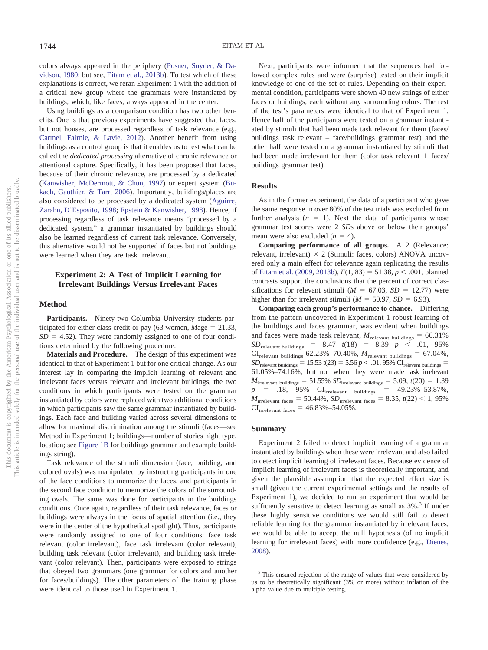colors always appeared in the periphery [\(Posner, Snyder, & Da](#page-6-21)[vidson, 1980;](#page-6-21) but see, [Eitam et al., 2013b\)](#page-5-14). To test which of these explanations is correct, we reran Experiment 1 with the addition of a critical new group where the grammars were instantiated by buildings, which, like faces, always appeared in the center.

Using buildings as a comparison condition has two other benefits. One is that previous experiments have suggested that faces, but not houses, are processed regardless of task relevance (e.g., [Carmel, Fairnie, & Lavie, 2012\)](#page-5-16). Another benefit from using buildings as a control group is that it enables us to test what can be called the *dedicated processing* alternative of chronic relevance or attentional capture. Specifically, it has been proposed that faces, because of their chronic relevance, are processed by a dedicated [\(Kanwisher, McDermott, & Chun, 1997\)](#page-6-22) or expert system [\(Bu](#page-5-17)[kach, Gauthier, & Tarr, 2006\)](#page-5-17). Importantly, buildings/places are also considered to be processed by a dedicated system [\(Aguirre,](#page-5-18) [Zarahn, D'Esposito, 1998;](#page-5-18) [Epstein & Kanwisher, 1998\)](#page-5-19). Hence, if processing regardless of task relevance means "processed by a dedicated system," a grammar instantiated by buildings should also be learned regardless of current task relevance. Conversely, this alternative would not be supported if faces but not buildings were learned when they are task irrelevant.

## **Experiment 2: A Test of Implicit Learning for Irrelevant Buildings Versus Irrelevant Faces**

#### **Method**

**Participants.** Ninety-two Columbia University students participated for either class credit or pay  $(63 \text{ women}, \text{Mage} = 21.33,$  $SD = 4.52$ ). They were randomly assigned to one of four conditions determined by the following procedure.

**Materials and Procedure.** The design of this experiment was identical to that of Experiment 1 but for one critical change. As our interest lay in comparing the implicit learning of relevant and irrelevant faces versus relevant and irrelevant buildings, the two conditions in which participants were tested on the grammar instantiated by colors were replaced with two additional conditions in which participants saw the same grammar instantiated by buildings. Each face and building varied across several dimensions to allow for maximal discrimination among the stimuli (faces—see Method in Experiment 1; buildings—number of stories high, type, location; see [Figure 1B](#page-2-0) for buildings grammar and example buildings string).

Task relevance of the stimuli dimension (face, building, and colored ovals) was manipulated by instructing participants in one of the face conditions to memorize the faces, and participants in the second face condition to memorize the colors of the surrounding ovals. The same was done for participants in the buildings conditions. Once again, regardless of their task relevance, faces or buildings were always in the focus of spatial attention (i.e., they were in the center of the hypothetical spotlight). Thus, participants were randomly assigned to one of four conditions: face task relevant (color irrelevant), face task irrelevant (color relevant), building task relevant (color irrelevant), and building task irrelevant (color relevant). Then, participants were exposed to strings that obeyed two grammars (one grammar for colors and another for faces/buildings). The other parameters of the training phase were identical to those used in Experiment 1.

Next, participants were informed that the sequences had followed complex rules and were (surprise) tested on their implicit knowledge of one of the set of rules. Depending on their experimental condition, participants were shown 40 new strings of either faces or buildings, each without any surrounding colors. The rest of the test's parameters were identical to that of Experiment 1. Hence half of the participants were tested on a grammar instantiated by stimuli that had been made task relevant for them (faces/ buildings task relevant – face/buildings grammar test) and the other half were tested on a grammar instantiated by stimuli that had been made irrelevant for them (color task relevant  $+$  faces/ buildings grammar test).

#### **Results**

As in the former experiment, the data of a participant who gave the same response in over 80% of the test trials was excluded from further analysis  $(n = 1)$ . Next the data of participants whose grammar test scores were 2 *SD*s above or below their groups' mean were also excluded  $(n = 4)$ .

**Comparing performance of all groups.** A 2 (Relevance: relevant, irrelevant)  $\times$  2 (Stimuli: faces, colors) ANOVA uncovered only a main effect for relevance again replicating the results of [Eitam et al. \(2009,](#page-5-13) [2013b\)](#page-5-14),  $F(1, 83) = 51.38, p < .001$ , planned contrasts support the conclusions that the percent of correct classifications for relevant stimuli ( $M = 67.03$ ,  $SD = 12.77$ ) were higher than for irrelevant stimuli ( $M = 50.97$ ,  $SD = 6.93$ ).

**Comparing each group's performance to chance.** Differing from the pattern uncovered in Experiment 1 robust learning of the buildings and faces grammar, was evident when buildings and faces were made task relevant,  $M_{\text{relevant buildings}} = 66.31\%$  $SD_{\text{relevant buildings}}$  = 8.47 *t*(18) = 8.39 *p* < .01, 95%  $CI_{\text{relevant buildings}}$  62.23%–70.40%,  $M_{\text{relevant buildings}} = 67.04\%$ ,  $SD_{\text{relevant buildings}} = 15.53 \tcdot (23) = 5.56 \tcdot p \lt .01,95\% \text{ CI}_{\text{relevant buildings}} =$ 61.05%–74.16%, but not when they were made task irrelevant  $M_{\text{irrelevant buildings}} = 51.55\% \, SD_{\text{irrelevant buildings}} = 5.09, t(20) = 1.39$  $p = 0.18, 95\% \text{ CI}_{\text{irrelevant} \text{building}} = 49.23\% - 53.87\%,$  $M_{\text{irrelevant faces}} = 50.44\%, SD_{\text{irrelevant faces}} = 8.35, t(22) < 1,95\%$  $CI_{\text{irrelevant faces}} = 46.83\% - 54.05\%$ .

#### **Summary**

Experiment 2 failed to detect implicit learning of a grammar instantiated by buildings when these were irrelevant and also failed to detect implicit learning of irrelevant faces. Because evidence of implicit learning of irrelevant faces is theoretically important, and given the plausible assumption that the expected effect size is small (given the current experimental settings and the results of Experiment 1), we decided to run an experiment that would be sufficiently sensitive to detect learning as small as  $3\%$ .<sup>3</sup> If under these highly sensitive conditions we would still fail to detect reliable learning for the grammar instantiated by irrelevant faces, we would be able to accept the null hypothesis (of no implicit learning for irrelevant faces) with more confidence (e.g., [Dienes,](#page-5-5) [2008\)](#page-5-5).

<sup>&</sup>lt;sup>3</sup> This ensured rejection of the range of values that were considered by us to be theoretically significant (3% or more) without inflation of the alpha value due to multiple testing.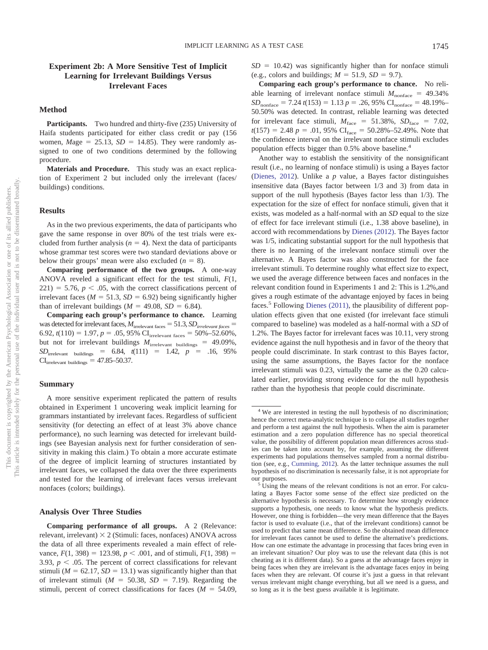## **Experiment 2b: A More Sensitive Test of Implicit Learning for Irrelevant Buildings Versus Irrelevant Faces**

#### **Method**

Participants. Two hundred and thirty-five (235) University of Haifa students participated for either class credit or pay (156 women,  $Mage = 25.13$ ,  $SD = 14.85$ ). They were randomly assigned to one of two conditions determined by the following procedure.

**Materials and Procedure.** This study was an exact replication of Experiment 2 but included only the irrelevant (faces/ buildings) conditions.

#### **Results**

As in the two previous experiments, the data of participants who gave the same response in over 80% of the test trials were excluded from further analysis  $(n = 4)$ . Next the data of participants whose grammar test scores were two standard deviations above or below their groups' mean were also excluded  $(n = 8)$ .

**Comparing performance of the two groups.** A one-way ANOVA reveled a significant effect for the test stimuli, *F*(1,  $221$ ) = 5.76,  $p < .05$ , with the correct classifications percent of irrelevant faces ( $M = 51.3$ ,  $SD = 6.92$ ) being significantly higher than of irrelevant buildings  $(M = 49.08, SD = 6.84)$ .

**Comparing each group's performance to chance.** Learning was detected for irrelevant faces,  $M_{\text{irrelevant faces}} = 51.3$ ,  $SD_{\text{irrelevant faces}} =$ 6.92,  $t(110) = 1.97$ ,  $p = .05$ , 95% CI<sub>irrelevant faces</sub> = 50%–52.60%, but not for irrelevant buildings  $M_{\text{irrelevant}$  buildings = 49.09%,  $SD_{\text{irrelevant}}$  buildings = 6.84,  $t(111)$  = 1.42,  $p$  = .16, 95%  $CI<sub>irrelevant</sub> <sub>building</sub> = 47.85–50.37.$ 

#### **Summary**

A more sensitive experiment replicated the pattern of results obtained in Experiment 1 uncovering weak implicit learning for grammars instantiated by irrelevant faces. Regardless of sufficient sensitivity (for detecting an effect of at least 3% above chance performance), no such learning was detected for irrelevant buildings (see Bayesian analysis next for further consideration of sensitivity in making this claim.) To obtain a more accurate estimate of the degree of implicit learning of structures instantiated by irrelevant faces, we collapsed the data over the three experiments and tested for the learning of irrelevant faces versus irrelevant nonfaces (colors; buildings).

#### **Analysis Over Three Studies**

**Comparing performance of all groups.** A 2 (Relevance: relevant, irrelevant)  $\times$  2 (Stimuli: faces, nonfaces) ANOVA across the data of all three experiments revealed a main effect of relevance,  $F(1, 398) = 123.98$ ,  $p < .001$ , and of stimuli,  $F(1, 398) =$ 3.93,  $p < .05$ . The percent of correct classifications for relevant stimuli ( $M = 62.17$ ,  $SD = 13.1$ ) was significantly higher than that of irrelevant stimuli ( $M = 50.38$ ,  $SD = 7.19$ ). Regarding the stimuli, percent of correct classifications for faces  $(M = 54.09)$ ,  $SD = 10.42$ ) was significantly higher than for nonface stimuli (e.g., colors and buildings;  $M = 51.9$ ,  $SD = 9.7$ ).

**Comparing each group's performance to chance.** No reliable learning of irrelevant nonface stimuli  $M_{\text{nonface}} = 49.34\%$  $SD_{\text{nonface}} = 7.24 \ t(153) = 1.13 \ p = .26,95\% \ \text{CI}_{\text{nonface}} = 48.19\%$ 50.50% was detected. In contrast, reliable learning was detected for irrelevant face stimuli,  $M_{\text{face}} = 51.38\%$ ,  $SD_{\text{face}} = 7.02$ ,  $t(157) = 2.48$   $p = .01,95\%$  CI<sub>face</sub> = 50.28%–52.49%. Note that the confidence interval on the irrelevant nonface stimuli excludes population effects bigger than 0.5% above baseline.<sup>4</sup>

Another way to establish the sensitivity of the nonsignificant result (i.e., no learning of nonface stimuli) is using a Bayes factor [\(Dienes, 2012\)](#page-5-20). Unlike a *p* value, a Bayes factor distinguishes insensitive data (Bayes factor between 1/3 and 3) from data in support of the null hypothesis (Bayes factor less than 1/3). The expectation for the size of effect for nonface stimuli, given that it exists, was modeled as a half-normal with an *SD* equal to the size of effect for face irrelevant stimuli (i.e., 1.38 above baseline), in accord with recommendations by [Dienes \(2012\).](#page-5-20) The Bayes factor was 1/5, indicating substantial support for the null hypothesis that there is no learning of the irrelevant nonface stimuli over the alternative. A Bayes factor was also constructed for the face irrelevant stimuli. To determine roughly what effect size to expect, we used the average difference between faces and nonfaces in the relevant condition found in Experiments 1 and 2: This is 1.2%,and gives a rough estimate of the advantage enjoyed by faces in being faces.<sup>5</sup> Following [Dienes \(2011\),](#page-5-21) the plausibility of different population effects given that one existed (for irrelevant face stimuli compared to baseline) was modeled as a half-normal with a *SD* of 1.2%. The Bayes factor for irrelevant faces was 10.11, very strong evidence against the null hypothesis and in favor of the theory that people could discriminate. In stark contrast to this Bayes factor, using the same assumptions, the Bayes factor for the nonface irrelevant stimuli was 0.23, virtually the same as the 0.20 calculated earlier, providing strong evidence for the null hypothesis rather than the hypothesis that people could discriminate.

<sup>&</sup>lt;sup>4</sup> We are interested in testing the null hypothesis of no discrimination; hence the correct meta-analytic technique is to collapse all studies together and perform a test against the null hypothesis. When the aim is parameter estimation and a zero population difference has no special theoretical value, the possibility of different population mean differences across studies can be taken into account by, for example, assuming the different experiments had populations themselves sampled from a normal distribution (see, e.g., [Cumming, 2012\)](#page-5-22). As the latter technique assumes the null hypothesis of no discrimination is necessarily false, it is not appropriate for our purposes.<br><sup>5</sup> Using the means of the relevant conditions is not an error. For calcu-

lating a Bayes Factor some sense of the effect size predicted on the alternative hypothesis is necessary. To determine how strongly evidence supports a hypothesis, one needs to know what the hypothesis predicts. However, one thing is forbidden—the very mean difference that the Bayes factor is used to evaluate (i.e., that of the irrelevant conditions) cannot be used to predict that same mean difference. So the obtained mean difference for irrelevant faces cannot be used to define the alternative's predictions. How can one estimate the advantage in processing that faces bring even in an irrelevant situation? Our ploy was to use the relevant data (this is not cheating as it is different data). So a guess at the advantage faces enjoy in being faces when they are irrelevant is the advantage faces enjoy in being faces when they are relevant. Of course it's just a guess in that relevant versus irrelevant might change everything, but all we need is a guess, and so long as it is the best guess available it is legitimate.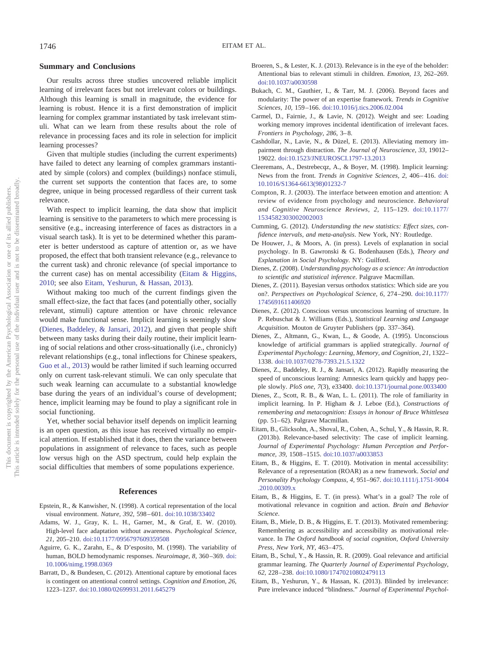#### **Summary and Conclusions**

Our results across three studies uncovered reliable implicit learning of irrelevant faces but not irrelevant colors or buildings. Although this learning is small in magnitude, the evidence for learning is robust. Hence it is a first demonstration of implicit learning for complex grammar instantiated by task irrelevant stimuli. What can we learn from these results about the role of relevance in processing faces and its role in selection for implicit learning processes?

Given that multiple studies (including the current experiments) have failed to detect any learning of complex grammars instantiated by simple (colors) and complex (buildings) nonface stimuli, the current set supports the contention that faces are, to some degree, unique in being processed regardless of their current task relevance.

With respect to implicit learning, the data show that implicit learning is sensitive to the parameters to which mere processing is sensitive (e.g., increasing interference of faces as distractors in a visual search task). It is yet to be determined whether this parameter is better understood as capture of attention or, as we have proposed, the effect that both transient relevance (e.g., relevance to the current task) and chronic relevance (of special importance to the current case) has on mental accessibility [\(Eitam & Higgins,](#page-5-8) [2010;](#page-5-8) see also [Eitam, Yeshurun, & Hassan, 2013\)](#page-5-0).

Without making too much of the current findings given the small effect-size, the fact that faces (and potentially other, socially relevant, stimuli) capture attention or have chronic relevance would make functional sense. Implicit learning is seemingly slow [\(Dienes, Baddeley, & Jansari, 2012\)](#page-5-23), and given that people shift between many tasks during their daily routine, their implicit learning of social relations and other cross-situationally (i.e., chronicly) relevant relationships (e.g., tonal inflections for Chinese speakers, [Guo et al., 2013\)](#page-6-23) would be rather limited if such learning occurred only on current task-relevant stimuli. We can only speculate that such weak learning can accumulate to a substantial knowledge base during the years of an individual's course of development; hence, implicit learning may be found to play a significant role in social functioning.

Yet, whether social behavior itself depends on implicit learning is an open question, as this issue has received virtually no empirical attention. If established that it does, then the variance between populations in assignment of relevance to faces, such as people low versus high on the ASD spectrum, could help explain the social difficulties that members of some populations experience.

### **References**

- <span id="page-5-19"></span>Epstein, R., & Kanwisher, N. (1998). A cortical representation of the local visual environment. *Nature, 392,* 598 – 601. [doi:10.1038/33402](http://dx.doi.org/10.1038/33402)
- <span id="page-5-1"></span>Adams, W. J., Gray, K. L. H., Garner, M., & Graf, E. W. (2010). High-level face adaptation without awareness. *Psychological Science, 21,* 205–210. [doi:10.1177/0956797609359508](http://dx.doi.org/10.1177/0956797609359508)
- <span id="page-5-18"></span>Aguirre, G. K., Zarahn, E., & D'esposito, M. (1998). The variability of human, BOLD hemodynamic responses. *Neuroimage, 8,* 360 –369. [doi:](http://dx.doi.org/10.1006/nimg.1998.0369) [10.1006/nimg.1998.0369](http://dx.doi.org/10.1006/nimg.1998.0369)
- <span id="page-5-4"></span>Barratt, D., & Bundesen, C. (2012). Attentional capture by emotional faces is contingent on attentional control settings. *Cognition and Emotion, 26,* 1223–1237. [doi:10.1080/02699931.2011.645279](http://dx.doi.org/10.1080/02699931.2011.645279)
- <span id="page-5-10"></span>Broeren, S., & Lester, K. J. (2013). Relevance is in the eye of the beholder: Attentional bias to relevant stimuli in children. *Emotion, 13,* 262–269. [doi:10.1037/a0030598](http://dx.doi.org/10.1037/a0030598)
- <span id="page-5-17"></span>Bukach, C. M., Gauthier, I., & Tarr, M. J. (2006). Beyond faces and modularity: The power of an expertise framework. *Trends in Cognitive Sciences, 10,* 159 –166. [doi:10.1016/j.tics.2006.02.004](http://dx.doi.org/10.1016/j.tics.2006.02.004)
- <span id="page-5-16"></span>Carmel, D., Fairnie, J., & Lavie, N. (2012). Weight and see: Loading working memory improves incidental identification of irrelevant faces. *Frontiers in Psychology, 286,* 3– 8.
- <span id="page-5-2"></span>Cashdollar, N., Lavie, N., & Düzel, E. (2013). Alleviating memory impairment through distraction. *The Journal of Neuroscience, 33,* 19012– 19022. [doi:10.1523/JNEUROSCI.1797-13.2013](http://dx.doi.org/10.1523/JNEUROSCI.1797-13.2013)
- <span id="page-5-6"></span>Cleeremans, A., Destrebecqz, A., & Boyer, M. (1998). Implicit learning: News from the front. *Trends in Cognitive Sciences*, 2, 406-416. [doi:](http://dx.doi.org/10.1016/S1364-6613%2898%2901232-7) [10.1016/S1364-6613\(98\)01232-7](http://dx.doi.org/10.1016/S1364-6613%2898%2901232-7)
- <span id="page-5-3"></span>Compton, R. J. (2003). The interface between emotion and attention: A review of evidence from psychology and neuroscience. *Behavioral and Cognitive Neuroscience Reviews, 2,* 115–129. [doi:10.1177/](http://dx.doi.org/10.1177/1534582303002002003) [1534582303002002003](http://dx.doi.org/10.1177/1534582303002002003)
- <span id="page-5-22"></span>Cumming, G. (2012). *Understanding the new statistics: Effect sizes, confidence intervals, and meta-analysis*. New York, NY: Routledge.
- <span id="page-5-11"></span>De Houwer, J., & Moors, A. (in press). Levels of explanation in social psychology. In B. Gawronski & G. Bodenhausen (Eds.), *Theory and Explanation in Social Psychology*. NY: Guilford.
- <span id="page-5-5"></span>Dienes, Z. (2008). *Understanding psychology as a science: An introduction to scientific and statistical inference*. Palgrave Macmillan.
- <span id="page-5-21"></span>Dienes, Z. (2011). Bayesian versus orthodox statistics: Which side are you on?. *Perspectives on Psychological Science, 6,* 274 –290. [doi:10.1177/](http://dx.doi.org/10.1177/1745691611406920) [1745691611406920](http://dx.doi.org/10.1177/1745691611406920)
- <span id="page-5-20"></span>Dienes, Z. (2012). Conscious versus unconscious learning of structure. In P. Rebuschat & J. Williams (Eds.), *Statistical Learning and Language Acquisition*. Mouton de Gruyter Publishers (pp. 337–364).
- <span id="page-5-15"></span>Dienes, Z., Altmann, G., Kwan, L., & Goode, A. (1995). Unconscious knowledge of artificial grammars is applied strategically. *Journal of Experimental Psychology: Learning, Memory, and Cognition, 21,* 1322– 1338. [doi:10.1037/0278-7393.21.5.1322](http://dx.doi.org/10.1037/0278-7393.21.5.1322)
- <span id="page-5-23"></span>Dienes, Z., Baddeley, R. J., & Jansari, A. (2012). Rapidly measuring the speed of unconscious learning: Amnesics learn quickly and happy people slowly. *PloS one, 7*(3), e33400. [doi:10.1371/journal.pone.0033400](http://dx.doi.org/10.1371/journal.pone.0033400)
- <span id="page-5-7"></span>Dienes, Z., Scott, R. B., & Wan, L. L. (2011). The role of familiarity in implicit learning. In P. Higham & J. Leboe (Ed.), *Constructions of remembering and metacognition: Essays in honour of Bruce Whittlesea* (pp. 51–62). Palgrave Macmillan.
- <span id="page-5-14"></span>Eitam, B., Glicksohn, A., Shoval, R., Cohen, A., Schul, Y., & Hassin, R. R. (2013b). Relevance-based selectivity: The case of implicit learning. *Journal of Experimental Psychology: Human Perception and Performance, 39,* 1508 –1515. [doi:10.1037/a0033853](http://dx.doi.org/10.1037/a0033853)
- <span id="page-5-8"></span>Eitam, B., & Higgins, E. T. (2010). Motivation in mental accessibility: Relevance of a representation (ROAR) as a new framework. *Social and Personality Psychology Compass, 4,* 951–967. [doi:10.1111/j.1751-9004](http://dx.doi.org/10.1111/j.1751-9004.2010.00309.x) [.2010.00309.x](http://dx.doi.org/10.1111/j.1751-9004.2010.00309.x)
- <span id="page-5-9"></span>Eitam, B., & Higgins, E. T. (in press). What's in a goal? The role of motivational relevance in cognition and action. *Brain and Behavior Science*.
- <span id="page-5-12"></span>Eitam, B., Miele, D. B., & Higgins, E. T. (2013). Motivated remembering: Remembering as accessibility and accessibility as motivational relevance. In *The Oxford handbook of social cognition, Oxford University Press, New York, NY,* 463– 475.
- <span id="page-5-13"></span>Eitam, B., Schul, Y., & Hassin, R. R. (2009). Goal relevance and artificial grammar learning. *The Quarterly Journal of Experimental Psychology, 62,* 228 –238. [doi:10.1080/17470210802479113](http://dx.doi.org/10.1080/17470210802479113)
- <span id="page-5-0"></span>Eitam, B., Yeshurun, Y., & Hassan, K. (2013). Blinded by irrelevance: Pure irrelevance induced "blindness." *Journal of Experimental Psychol-*